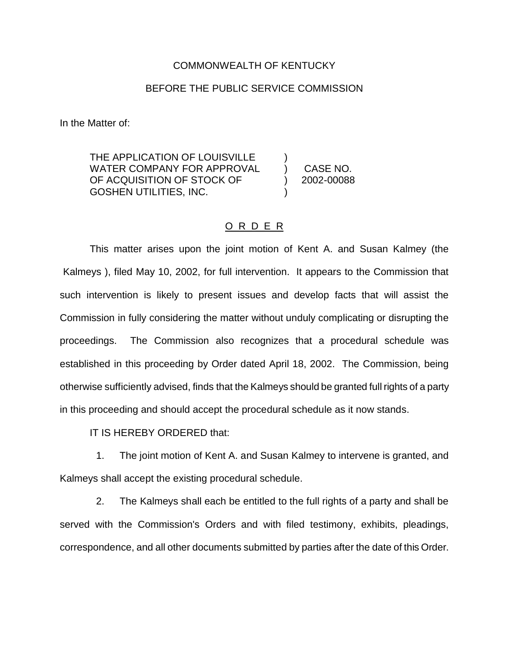## COMMONWEALTH OF KENTUCKY

## BEFORE THE PUBLIC SERVICE COMMISSION

In the Matter of:

THE APPLICATION OF LOUISVILLE WATER COMPANY FOR APPROVAL (CASE NO. OF ACQUISITION OF STOCK OF (2002-00088) GOSHEN UTILITIES, INC. )

## O R D E R

This matter arises upon the joint motion of Kent A. and Susan Kalmey (the Kalmeys ), filed May 10, 2002, for full intervention. It appears to the Commission that such intervention is likely to present issues and develop facts that will assist the Commission in fully considering the matter without unduly complicating or disrupting the proceedings. The Commission also recognizes that a procedural schedule was established in this proceeding by Order dated April 18, 2002. The Commission, being otherwise sufficiently advised, finds that the Kalmeys should be granted full rights of a party in this proceeding and should accept the procedural schedule as it now stands.

IT IS HEREBY ORDERED that:

1. The joint motion of Kent A. and Susan Kalmey to intervene is granted, and Kalmeys shall accept the existing procedural schedule.

2. The Kalmeys shall each be entitled to the full rights of a party and shall be served with the Commission's Orders and with filed testimony, exhibits, pleadings, correspondence, and all other documents submitted by parties after the date of this Order.